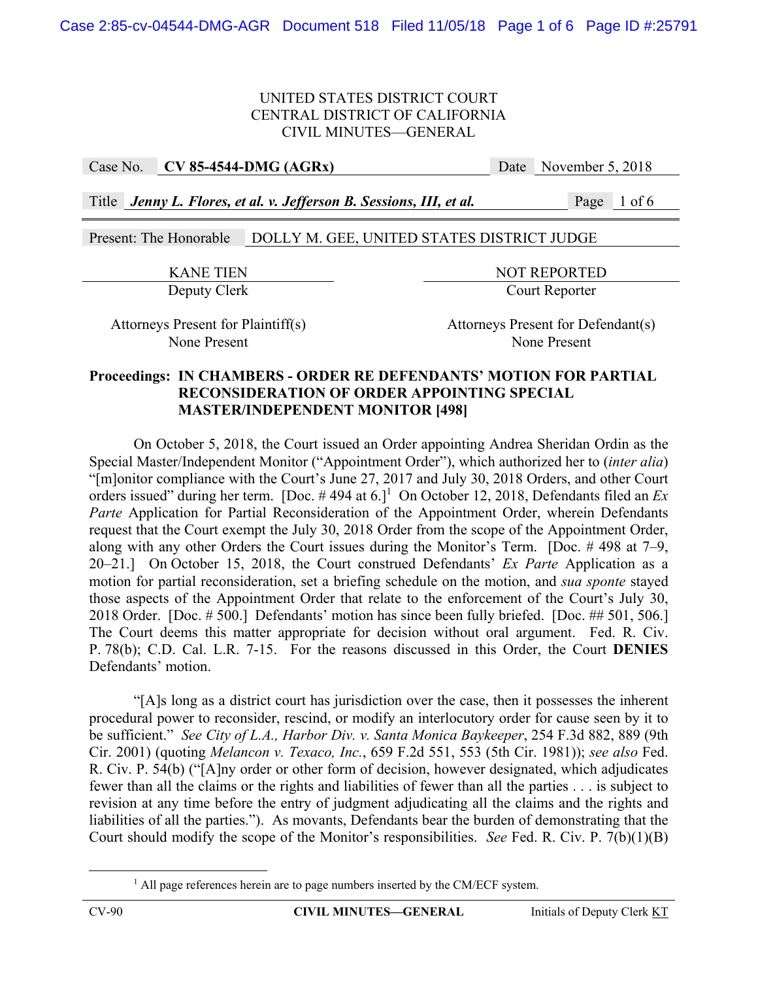Case No. **CV 85-4544-DMG (AGRx)** Date November 5, 2018

Title *Jenny L. Flores, et al. v. Jefferson B. Sessions, III, et al.* Page 1 of 6

Present: The Honorable DOLLY M. GEE, UNITED STATES DISTRICT JUDGE

KANE TIEN NOT REPORTED Deputy Clerk Court Reporter

Attorneys Present for Plaintiff(s) Attorneys Present for Defendant(s) None Present None Present

# **Proceedings: IN CHAMBERS - ORDER RE DEFENDANTS' MOTION FOR PARTIAL RECONSIDERATION OF ORDER APPOINTING SPECIAL MASTER/INDEPENDENT MONITOR [498]**

 On October 5, 2018, the Court issued an Order appointing Andrea Sheridan Ordin as the Special Master/Independent Monitor ("Appointment Order"), which authorized her to (*inter alia*) "[m]onitor compliance with the Court's June 27, 2017 and July 30, 2018 Orders, and other Court orders issued" during her term. [Doc.  $\#$  494 at 6.]<sup>1</sup> On October 12, 2018, Defendants filed an  $Ex$ *Parte* Application for Partial Reconsideration of the Appointment Order, wherein Defendants request that the Court exempt the July 30, 2018 Order from the scope of the Appointment Order, along with any other Orders the Court issues during the Monitor's Term. [Doc. # 498 at 7–9, 20–21.] On October 15, 2018, the Court construed Defendants' *Ex Parte* Application as a motion for partial reconsideration, set a briefing schedule on the motion, and *sua sponte* stayed those aspects of the Appointment Order that relate to the enforcement of the Court's July 30, 2018 Order. [Doc. # 500.] Defendants' motion has since been fully briefed. [Doc. ## 501, 506.] The Court deems this matter appropriate for decision without oral argument. Fed. R. Civ. P. 78(b); C.D. Cal. L.R. 7-15. For the reasons discussed in this Order, the Court **DENIES** Defendants' motion.

 "[A]s long as a district court has jurisdiction over the case, then it possesses the inherent procedural power to reconsider, rescind, or modify an interlocutory order for cause seen by it to be sufficient." *See City of L.A., Harbor Div. v. Santa Monica Baykeeper*, 254 F.3d 882, 889 (9th Cir. 2001) (quoting *Melancon v. Texaco, Inc.*, 659 F.2d 551, 553 (5th Cir. 1981)); *see also* Fed. R. Civ. P. 54(b) ("[A]ny order or other form of decision, however designated, which adjudicates fewer than all the claims or the rights and liabilities of fewer than all the parties . . . is subject to revision at any time before the entry of judgment adjudicating all the claims and the rights and liabilities of all the parties."). As movants, Defendants bear the burden of demonstrating that the Court should modify the scope of the Monitor's responsibilities. *See* Fed. R. Civ. P. 7(b)(1)(B)

<sup>&</sup>lt;u>1</u> <sup>1</sup> All page references herein are to page numbers inserted by the CM/ECF system.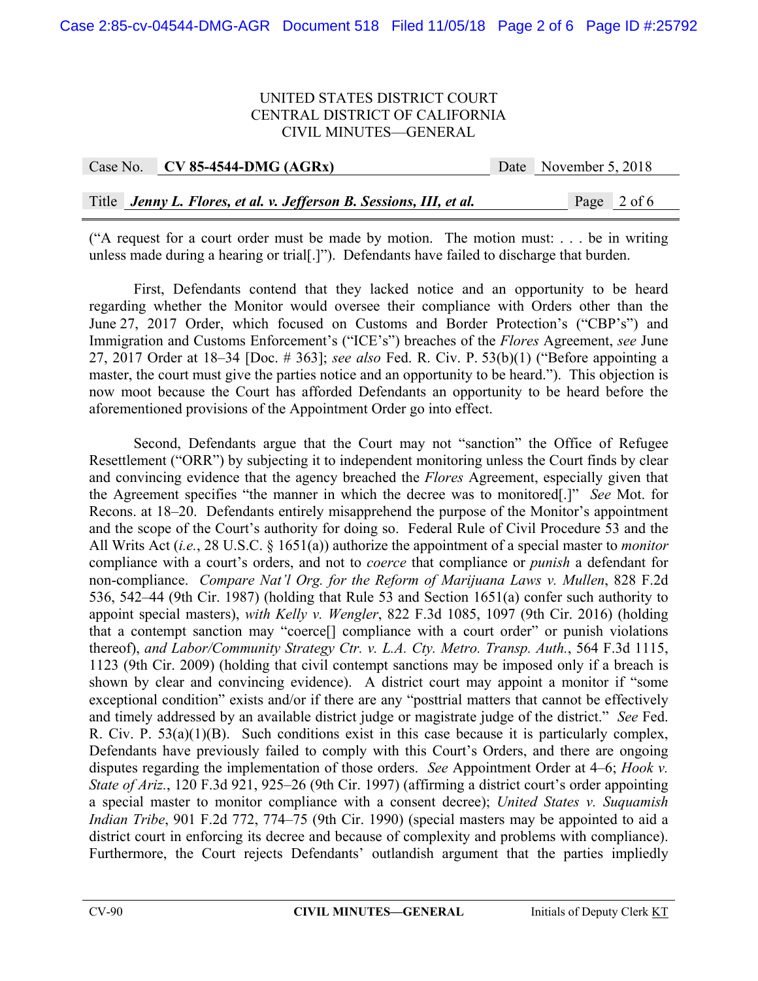| Case No. | $CV 85-4544-DMG (AGRx)$                                             | Date November 5, 2018 |
|----------|---------------------------------------------------------------------|-----------------------|
|          |                                                                     |                       |
|          | Title Jenny L. Flores, et al. v. Jefferson B. Sessions, III, et al. | Page 2 of 6           |

("A request for a court order must be made by motion. The motion must: ... be in writing unless made during a hearing or trial[.]"). Defendants have failed to discharge that burden.

 First, Defendants contend that they lacked notice and an opportunity to be heard regarding whether the Monitor would oversee their compliance with Orders other than the June 27, 2017 Order, which focused on Customs and Border Protection's ("CBP's") and Immigration and Customs Enforcement's ("ICE's") breaches of the *Flores* Agreement, *see* June 27, 2017 Order at 18–34 [Doc. # 363]; *see also* Fed. R. Civ. P. 53(b)(1) ("Before appointing a master, the court must give the parties notice and an opportunity to be heard."). This objection is now moot because the Court has afforded Defendants an opportunity to be heard before the aforementioned provisions of the Appointment Order go into effect.

 Second, Defendants argue that the Court may not "sanction" the Office of Refugee Resettlement ("ORR") by subjecting it to independent monitoring unless the Court finds by clear and convincing evidence that the agency breached the *Flores* Agreement, especially given that the Agreement specifies "the manner in which the decree was to monitored[.]" *See* Mot. for Recons. at 18–20. Defendants entirely misapprehend the purpose of the Monitor's appointment and the scope of the Court's authority for doing so. Federal Rule of Civil Procedure 53 and the All Writs Act (*i.e.*, 28 U.S.C. § 1651(a)) authorize the appointment of a special master to *monitor*  compliance with a court's orders, and not to *coerce* that compliance or *punish* a defendant for non-compliance. *Compare Nat'l Org. for the Reform of Marijuana Laws v. Mullen*, 828 F.2d 536, 542–44 (9th Cir. 1987) (holding that Rule 53 and Section 1651(a) confer such authority to appoint special masters), *with Kelly v. Wengler*, 822 F.3d 1085, 1097 (9th Cir. 2016) (holding that a contempt sanction may "coerce[] compliance with a court order" or punish violations thereof), *and Labor/Community Strategy Ctr. v. L.A. Cty. Metro. Transp. Auth.*, 564 F.3d 1115, 1123 (9th Cir. 2009) (holding that civil contempt sanctions may be imposed only if a breach is shown by clear and convincing evidence). A district court may appoint a monitor if "some exceptional condition" exists and/or if there are any "posttrial matters that cannot be effectively and timely addressed by an available district judge or magistrate judge of the district." *See* Fed. R. Civ. P. 53(a)(1)(B). Such conditions exist in this case because it is particularly complex, Defendants have previously failed to comply with this Court's Orders, and there are ongoing disputes regarding the implementation of those orders. *See* Appointment Order at 4–6; *Hook v. State of Ariz.*, 120 F.3d 921, 925–26 (9th Cir. 1997) (affirming a district court's order appointing a special master to monitor compliance with a consent decree); *United States v. Suquamish Indian Tribe*, 901 F.2d 772, 774–75 (9th Cir. 1990) (special masters may be appointed to aid a district court in enforcing its decree and because of complexity and problems with compliance). Furthermore, the Court rejects Defendants' outlandish argument that the parties impliedly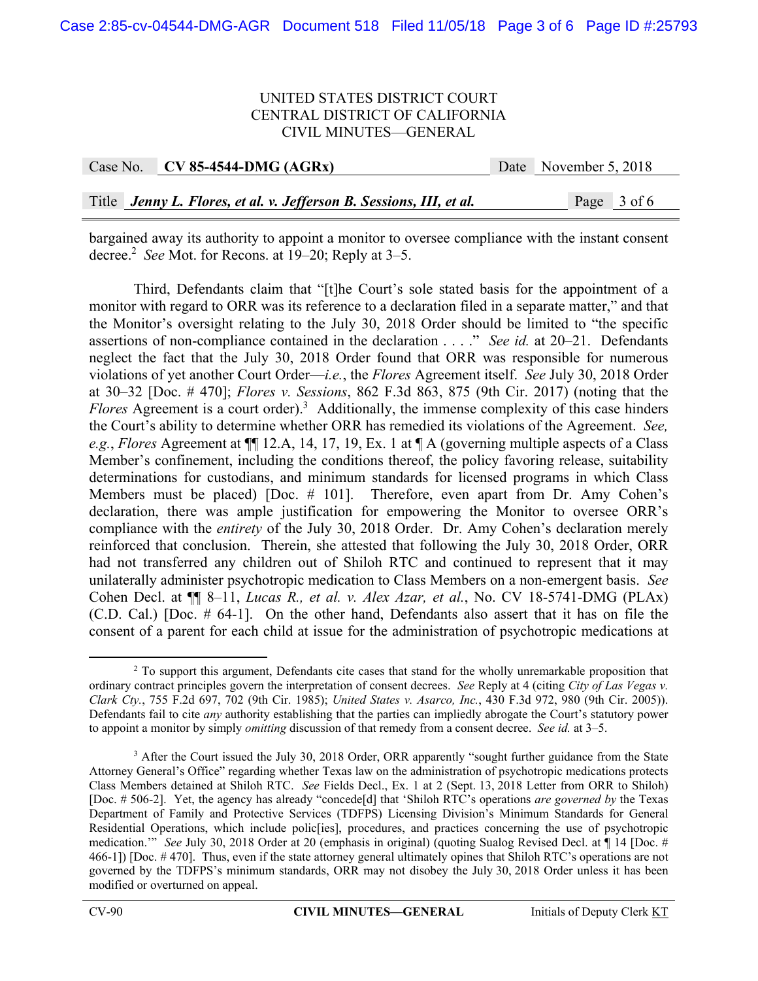| Case No. | $CV 85-4544-DMG (AGRx)$                                             | Date November 5, 2018 |
|----------|---------------------------------------------------------------------|-----------------------|
|          |                                                                     |                       |
|          | Title Jenny L. Flores, et al. v. Jefferson B. Sessions, III, et al. | Page 3 of 6           |

bargained away its authority to appoint a monitor to oversee compliance with the instant consent decree.2 *See* Mot. for Recons. at 19–20; Reply at 3–5.

 Third, Defendants claim that "[t]he Court's sole stated basis for the appointment of a monitor with regard to ORR was its reference to a declaration filed in a separate matter," and that the Monitor's oversight relating to the July 30, 2018 Order should be limited to "the specific assertions of non-compliance contained in the declaration . . . ." *See id.* at 20–21. Defendants neglect the fact that the July 30, 2018 Order found that ORR was responsible for numerous violations of yet another Court Order—*i.e.*, the *Flores* Agreement itself. *See* July 30, 2018 Order at 30–32 [Doc. # 470]; *Flores v. Sessions*, 862 F.3d 863, 875 (9th Cir. 2017) (noting that the Flores Agreement is a court order).<sup>3</sup> Additionally, the immense complexity of this case hinders the Court's ability to determine whether ORR has remedied its violations of the Agreement. *See, e.g.*, *Flores* Agreement at ¶¶ 12.A, 14, 17, 19, Ex. 1 at ¶ A (governing multiple aspects of a Class Member's confinement, including the conditions thereof, the policy favoring release, suitability determinations for custodians, and minimum standards for licensed programs in which Class Members must be placed) [Doc. # 101]. Therefore, even apart from Dr. Amy Cohen's declaration, there was ample justification for empowering the Monitor to oversee ORR's compliance with the *entirety* of the July 30, 2018 Order. Dr. Amy Cohen's declaration merely reinforced that conclusion. Therein, she attested that following the July 30, 2018 Order, ORR had not transferred any children out of Shiloh RTC and continued to represent that it may unilaterally administer psychotropic medication to Class Members on a non-emergent basis. *See* Cohen Decl. at ¶¶ 8–11, *Lucas R., et al. v. Alex Azar, et al.*, No. CV 18-5741-DMG (PLAx) (C.D. Cal.) [Doc. # 64-1]. On the other hand, Defendants also assert that it has on file the consent of a parent for each child at issue for the administration of psychotropic medications at

 $\overline{\phantom{a}}$ <sup>2</sup> To support this argument, Defendants cite cases that stand for the wholly unremarkable proposition that ordinary contract principles govern the interpretation of consent decrees. *See* Reply at 4 (citing *City of Las Vegas v. Clark Cty.*, 755 F.2d 697, 702 (9th Cir. 1985); *United States v. Asarco, Inc.*, 430 F.3d 972, 980 (9th Cir. 2005)). Defendants fail to cite *any* authority establishing that the parties can impliedly abrogate the Court's statutory power to appoint a monitor by simply *omitting* discussion of that remedy from a consent decree. *See id.* at 3–5.

<sup>&</sup>lt;sup>3</sup> After the Court issued the July 30, 2018 Order, ORR apparently "sought further guidance from the State Attorney General's Office" regarding whether Texas law on the administration of psychotropic medications protects Class Members detained at Shiloh RTC. *See* Fields Decl., Ex. 1 at 2 (Sept. 13, 2018 Letter from ORR to Shiloh) [Doc. # 506-2]. Yet, the agency has already "concede[d] that 'Shiloh RTC's operations *are governed by* the Texas Department of Family and Protective Services (TDFPS) Licensing Division's Minimum Standards for General Residential Operations, which include polic[ies], procedures, and practices concerning the use of psychotropic medication.'" *See* July 30, 2018 Order at 20 (emphasis in original) (quoting Sualog Revised Decl. at ¶ 14 [Doc. # 466-1]) [Doc. # 470]. Thus, even if the state attorney general ultimately opines that Shiloh RTC's operations are not governed by the TDFPS's minimum standards, ORR may not disobey the July 30, 2018 Order unless it has been modified or overturned on appeal.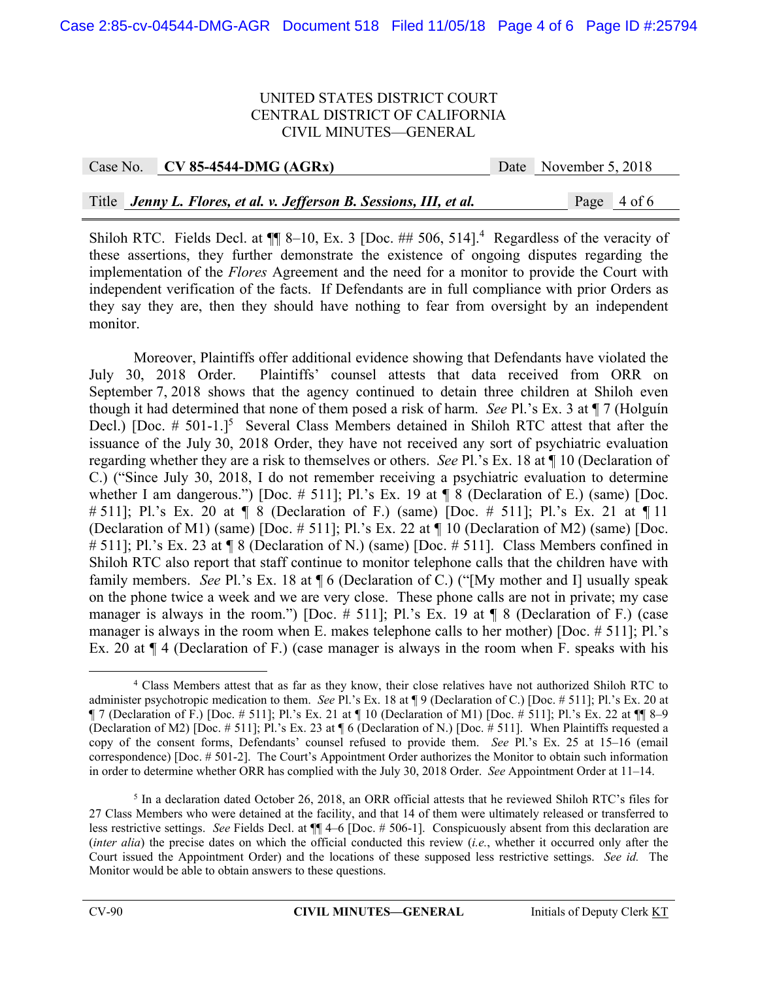|  | Case No. CV 85-4544-DMG (AGRx)                                      | Date November 5, 2018 |
|--|---------------------------------------------------------------------|-----------------------|
|  |                                                                     |                       |
|  | Title Jenny L. Flores, et al. v. Jefferson B. Sessions, III, et al. | Page 4 of 6           |

Shiloh RTC. Fields Decl. at  $\P$  8-10, Ex. 3 [Doc. ## 506, 514].<sup>4</sup> Regardless of the veracity of these assertions, they further demonstrate the existence of ongoing disputes regarding the implementation of the *Flores* Agreement and the need for a monitor to provide the Court with independent verification of the facts. If Defendants are in full compliance with prior Orders as they say they are, then they should have nothing to fear from oversight by an independent monitor.

 Moreover, Plaintiffs offer additional evidence showing that Defendants have violated the July 30, 2018 Order. Plaintiffs' counsel attests that data received from ORR on September 7, 2018 shows that the agency continued to detain three children at Shiloh even though it had determined that none of them posed a risk of harm. *See* Pl.'s Ex. 3 at ¶ 7 (Holguín Decl.) [Doc. # 501-1.]<sup>5</sup> Several Class Members detained in Shiloh RTC attest that after the issuance of the July 30, 2018 Order, they have not received any sort of psychiatric evaluation regarding whether they are a risk to themselves or others. *See* Pl.'s Ex. 18 at ¶ 10 (Declaration of C.) ("Since July 30, 2018, I do not remember receiving a psychiatric evaluation to determine whether I am dangerous.") [Doc.  $\#$  511]; Pl.'s Ex. 19 at  $\P$  8 (Declaration of E.) (same) [Doc. # 511]; Pl.'s Ex. 20 at ¶ 8 (Declaration of F.) (same) [Doc. # 511]; Pl.'s Ex. 21 at ¶ 11 (Declaration of M1) (same) [Doc. # 511]; Pl.'s Ex. 22 at ¶ 10 (Declaration of M2) (same) [Doc. # 511]; Pl.'s Ex. 23 at ¶ 8 (Declaration of N.) (same) [Doc. # 511]. Class Members confined in Shiloh RTC also report that staff continue to monitor telephone calls that the children have with family members. *See* Pl.'s Ex. 18 at ¶ 6 (Declaration of C.) ("[My mother and I] usually speak on the phone twice a week and we are very close. These phone calls are not in private; my case manager is always in the room.") [Doc.  $\#$  511]; Pl.'s Ex. 19 at  $\P$  8 (Declaration of F.) (case manager is always in the room when E. makes telephone calls to her mother) [Doc. # 511]; Pl.'s Ex. 20 at ¶ 4 (Declaration of F.) (case manager is always in the room when F. speaks with his

 $\begin{array}{c|c}\n\hline\n\end{array}$  Class Members attest that as far as they know, their close relatives have not authorized Shiloh RTC to administer psychotropic medication to them. *See* Pl.'s Ex. 18 at ¶ 9 (Declaration of C.) [Doc. # 511]; Pl.'s Ex. 20 at ¶ 7 (Declaration of F.) [Doc. # 511]; Pl.'s Ex. 21 at ¶ 10 (Declaration of M1) [Doc. # 511]; Pl.'s Ex. 22 at ¶¶ 8–9 (Declaration of M2) [Doc. # 511]; Pl.'s Ex. 23 at ¶ 6 (Declaration of N.) [Doc. # 511]. When Plaintiffs requested a copy of the consent forms, Defendants' counsel refused to provide them. *See* Pl.'s Ex. 25 at 15–16 (email correspondence) [Doc. # 501-2]. The Court's Appointment Order authorizes the Monitor to obtain such information in order to determine whether ORR has complied with the July 30, 2018 Order. *See* Appointment Order at 11–14.

<sup>&</sup>lt;sup>5</sup> In a declaration dated October 26, 2018, an ORR official attests that he reviewed Shiloh RTC's files for 27 Class Members who were detained at the facility, and that 14 of them were ultimately released or transferred to less restrictive settings. *See* Fields Decl. at ¶¶ 4–6 [Doc. # 506-1]. Conspicuously absent from this declaration are (*inter alia*) the precise dates on which the official conducted this review (*i.e.*, whether it occurred only after the Court issued the Appointment Order) and the locations of these supposed less restrictive settings. *See id.* The Monitor would be able to obtain answers to these questions.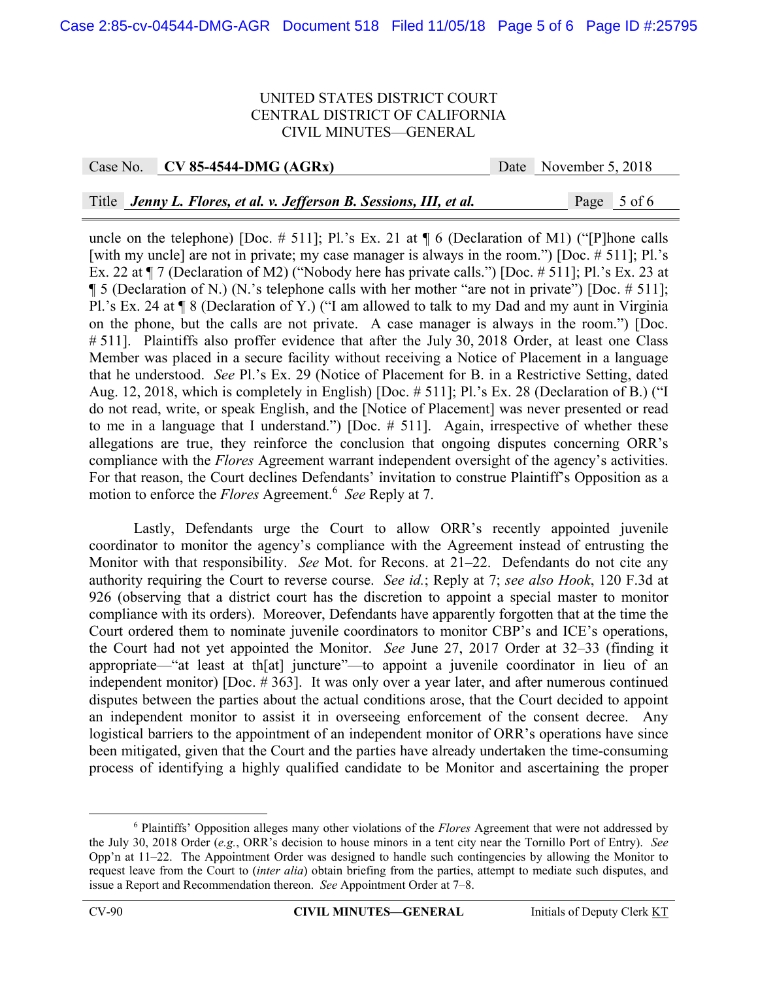Case No. **CV 85-4544-DMG (AGRx)** Date November 5, 2018

Title *Jenny L. Flores, et al. v. Jefferson B. Sessions, III, et al.* Page 5 of 6

uncle on the telephone) [Doc.  $\#$  511]; Pl.'s Ex. 21 at  $\P$  6 (Declaration of M1) ("[P]hone calls [with my uncle] are not in private; my case manager is always in the room.") [Doc. # 511]; Pl.'s Ex. 22 at ¶ 7 (Declaration of M2) ("Nobody here has private calls.") [Doc. # 511]; Pl.'s Ex. 23 at ¶ 5 (Declaration of N.) (N.'s telephone calls with her mother "are not in private") [Doc. # 511]; Pl.'s Ex. 24 at ¶ 8 (Declaration of Y.) ("I am allowed to talk to my Dad and my aunt in Virginia on the phone, but the calls are not private. A case manager is always in the room.") [Doc. # 511]. Plaintiffs also proffer evidence that after the July 30, 2018 Order, at least one Class Member was placed in a secure facility without receiving a Notice of Placement in a language that he understood. *See* Pl.'s Ex. 29 (Notice of Placement for B. in a Restrictive Setting, dated Aug. 12, 2018, which is completely in English) [Doc. # 511]; Pl.'s Ex. 28 (Declaration of B.) ("I do not read, write, or speak English, and the [Notice of Placement] was never presented or read to me in a language that I understand.") [Doc. # 511]. Again, irrespective of whether these allegations are true, they reinforce the conclusion that ongoing disputes concerning ORR's compliance with the *Flores* Agreement warrant independent oversight of the agency's activities. For that reason, the Court declines Defendants' invitation to construe Plaintiff's Opposition as a motion to enforce the *Flores* Agreement.<sup>6</sup> *See* Reply at 7.

 Lastly, Defendants urge the Court to allow ORR's recently appointed juvenile coordinator to monitor the agency's compliance with the Agreement instead of entrusting the Monitor with that responsibility. *See* Mot. for Recons. at 21–22. Defendants do not cite any authority requiring the Court to reverse course. *See id.*; Reply at 7; *see also Hook*, 120 F.3d at 926 (observing that a district court has the discretion to appoint a special master to monitor compliance with its orders). Moreover, Defendants have apparently forgotten that at the time the Court ordered them to nominate juvenile coordinators to monitor CBP's and ICE's operations, the Court had not yet appointed the Monitor. *See* June 27, 2017 Order at 32–33 (finding it appropriate—"at least at th[at] juncture"—to appoint a juvenile coordinator in lieu of an independent monitor) [Doc. # 363]. It was only over a year later, and after numerous continued disputes between the parties about the actual conditions arose, that the Court decided to appoint an independent monitor to assist it in overseeing enforcement of the consent decree. Any logistical barriers to the appointment of an independent monitor of ORR's operations have since been mitigated, given that the Court and the parties have already undertaken the time-consuming process of identifying a highly qualified candidate to be Monitor and ascertaining the proper

 <sup>6</sup> Plaintiffs' Opposition alleges many other violations of the *Flores* Agreement that were not addressed by the July 30, 2018 Order (*e.g.*, ORR's decision to house minors in a tent city near the Tornillo Port of Entry). *See* Opp'n at 11–22. The Appointment Order was designed to handle such contingencies by allowing the Monitor to request leave from the Court to (*inter alia*) obtain briefing from the parties, attempt to mediate such disputes, and issue a Report and Recommendation thereon. *See* Appointment Order at 7–8.